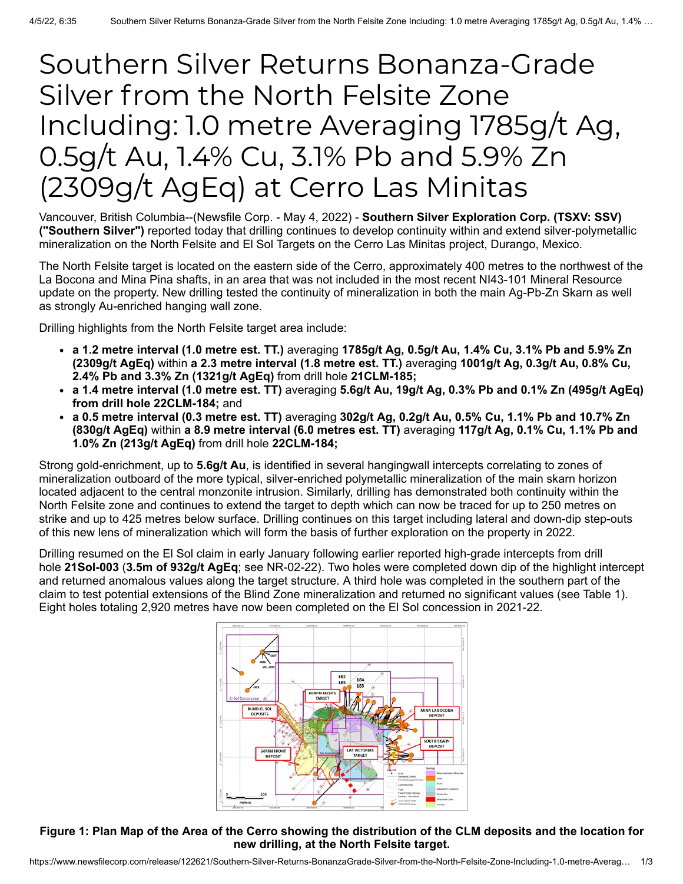# Southern Silver Returns Bonanza-Grade Silver from the North Felsite Zone Including: 1.0 metre Averaging 1785g/t Ag, 0.5g/t Au, 1.4% Cu, 3.1% Pb and 5.9% Zn (2309g/t AgEq) at Cerro Las Minitas

Vancouver, British Columbia--(Newsfile Corp. - May 4, 2022) - **Southern Silver Exploration Corp. (TSXV: SSV) ("Southern Silver")** reported today that drilling continues to develop continuity within and extend silver-polymetallic mineralization on the North Felsite and El Sol Targets on the Cerro Las Minitas project, Durango, Mexico.

The North Felsite target is located on the eastern side of the Cerro, approximately 400 metres to the northwest of the La Bocona and Mina Pina shafts, in an area that was not included in the most recent NI43-101 Mineral Resource update on the property. New drilling tested the continuity of mineralization in both the main Ag-Pb-Zn Skarn as well as strongly Au-enriched hanging wall zone.

Drilling highlights from the North Felsite target area include:

- **a 1.2 metre interval (1.0 metre est. TT.)** averaging **1785g/t Ag, 0.5g/t Au, 1.4% Cu, 3.1% Pb and 5.9% Zn (2309g/t AgEq)** within **a 2.3 metre interval (1.8 metre est. TT.)** averaging **1001g/t Ag, 0.3g/t Au, 0.8% Cu, 2.4% Pb and 3.3% Zn (1321g/t AgEq)** from drill hole **21CLM-185;**
- **a 1.4 metre interval (1.0 metre est. TT)** averaging **5.6g/t Au, 19g/t Ag, 0.3% Pb and 0.1% Zn (495g/t AgEq) from drill hole 22CLM-184;** and
- **a 0.5 metre interval (0.3 metre est. TT)** averaging **302g/t Ag, 0.2g/t Au, 0.5% Cu, 1.1% Pb and 10.7% Zn (830g/t AgEq)** within **a 8.9 metre interval (6.0 metres est. TT)** averaging **117g/t Ag, 0.1% Cu, 1.1% Pb and 1.0% Zn (213g/t AgEq)** from drill hole **22CLM-184;**

Strong gold-enrichment, up to **5.6g/t Au**, is identified in several hangingwall intercepts correlating to zones of mineralization outboard of the more typical, silver-enriched polymetallic mineralization of the main skarn horizon located adjacent to the central monzonite intrusion. Similarly, drilling has demonstrated both continuity within the North Felsite zone and continues to extend the target to depth which can now be traced for up to 250 metres on strike and up to 425 metres below surface. Drilling continues on this target including lateral and down-dip step-outs of this new lens of mineralization which will form the basis of further exploration on the property in 2022.

Drilling resumed on the El Sol claim in early January following earlier reported high-grade intercepts from drill hole **21Sol-003** (**3.5m of 932g/t AgEq**; see NR-02-22). Two holes were completed down dip of the highlight intercept and returned anomalous values along the target structure. A third hole was completed in the southern part of the claim to test potential extensions of the Blind Zone mineralization and returned no significant values (see Table 1). Eight holes totaling 2,920 metres have now been completed on the El Sol concession in 2021-22.



# **Figure 1: Plan Map of the Area of the Cerro showing the distribution of the CLM deposits and the location for new drilling, at the North Felsite target.**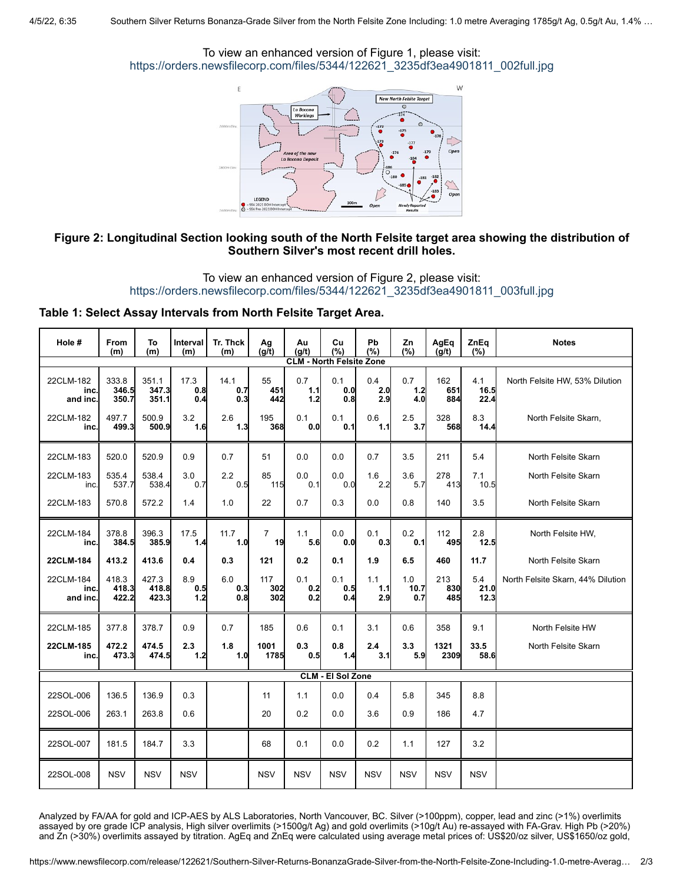#### To view an enhanced version of Figure 1, please visit: [https://orders.newsfilecorp.com/files/5344/122621\\_3235df3ea4901811\\_002full.jpg](https://orders.newsfilecorp.com/files/5344/122621_3235df3ea4901811_002full.jpg)



## **Figure 2: Longitudinal Section looking south of the North Felsite target area showing the distribution of Southern Silver's most recent drill holes.**

# To view an enhanced version of Figure 2, please visit: [https://orders.newsfilecorp.com/files/5344/122621\\_3235df3ea4901811\\_003full.jpg](https://orders.newsfilecorp.com/files/5344/122621_3235df3ea4901811_003full.jpg)

#### **Table 1: Select Assay Intervals from North Felsite Target Area.**

| Hole #                          | <b>From</b><br>(m)      | To<br>(m)               | Interval<br>(m)    | Tr. Thck<br>(m)       | Ag<br>(g/t)          | Au<br>(g/t)       | Cu<br>(%)         | Pb<br>(%)         | Zn<br>(%)          | AgEq<br>(q/t)     | ZnEq<br>(%)         | <b>Notes</b>                      |
|---------------------------------|-------------------------|-------------------------|--------------------|-----------------------|----------------------|-------------------|-------------------|-------------------|--------------------|-------------------|---------------------|-----------------------------------|
| <b>CLM - North Felsite Zone</b> |                         |                         |                    |                       |                      |                   |                   |                   |                    |                   |                     |                                   |
| 22CLM-182<br>inc<br>and inc.    | 333.8<br>346.5<br>350.7 | 351.1<br>347.3<br>351.1 | 17.3<br>0.8<br>0.4 | 14.1<br>0.7<br>0.3    | 55<br>451<br>442     | 0.7<br>1.1<br>1.2 | 0.1<br>0.0<br>0.8 | 0.4<br>2.0<br>2.9 | 0.7<br>1.2<br>4.0  | 162<br>651<br>884 | 4.1<br>16.5<br>22.4 | North Felsite HW, 53% Dilution    |
| 22CLM-182<br>inc.               | 497.7<br>499.3          | 500.9<br>500.9          | 3.2<br>1.6         | 2.6<br>1.3            | 195<br>368           | 0.1<br>0.0        | 0.1<br>0.1        | $0.6\,$<br>1.1    | 2.5<br>3.7         | 328<br>568        | 8.3<br>14.4         | North Felsite Skarn,              |
| 22CLM-183                       | 520.0                   | 520.9                   | 0.9                | 0.7                   | 51                   | 0.0               | 0.0               | 0.7               | 3.5                | 211               | 5.4                 | North Felsite Skarn               |
| 22CLM-183<br>inc.               | 535.4<br>537.7          | 538.4<br>538.4          | 3.0<br>0.7         | 2.2<br>0.5            | 85<br>115            | 0.0<br>0.1        | 0.0<br>0.0        | 1.6<br>2.2        | 3.6<br>5.7         | 278<br>413        | 7.1<br>10.5         | North Felsite Skarn               |
| 22CLM-183                       | 570.8                   | 572.2                   | 1.4                | 1.0                   | 22                   | 0.7               | 0.3               | 0.0               | 0.8                | 140               | 3.5                 | North Felsite Skarn               |
| 22CLM-184<br>inc.               | 378.8<br>384.5          | 396.3<br>385.9          | 17.5<br>1.4        | 11.7<br>1.0           | $\overline{7}$<br>19 | 1.1<br>5.6        | 0.0<br>0.0        | 0.1<br>0.3        | 0.2<br>0.1         | 112<br>495        | 2.8<br>12.5         | North Felsite HW,                 |
| 22CLM-184                       | 413.2                   | 413.6                   | 0.4                | 0.3                   | 121                  | 0.2               | 0.1               | 1.9               | 6.5                | 460               | 11.7                | North Felsite Skarn               |
| 22CLM-184<br>inc.<br>and inc.   | 418.3<br>418.3<br>422.2 | 427.3<br>418.8<br>423.3 | 8.9<br>0.5<br>1.2  | $6.0\,$<br>0.3<br>0.8 | 117<br>302<br>302    | 0.1<br>0.2<br>0.2 | 0.1<br>0.5<br>0.4 | 1.1<br>1.1<br>2.9 | 1.0<br>10.7<br>0.7 | 213<br>830<br>485 | 5.4<br>21.0<br>12.3 | North Felsite Skarn, 44% Dilution |
| 22CLM-185                       | 377.8                   | 378.7                   | 0.9                | 0.7                   | 185                  | 0.6               | 0.1               | 3.1               | 0.6                | 358               | 9.1                 | North Felsite HW                  |
| 22CLM-185<br>inc.               | 472.2<br>473.3          | 474.5<br>474.5          | 2.3<br>1.2         | 1.8<br>1.0            | 1001<br>1785         | 0.3<br>0.5        | 0.8<br>1.4        | 2.4<br>3.1        | 3.3<br>5.9         | 1321<br>2309      | 33.5<br>58.6        | North Felsite Skarn               |
| <b>CLM - El Sol Zone</b>        |                         |                         |                    |                       |                      |                   |                   |                   |                    |                   |                     |                                   |
| 22SOL-006                       | 136.5                   | 136.9                   | 0.3                |                       | 11                   | 1.1               | 0.0               | 0.4               | 5.8                | 345               | 8.8                 |                                   |
| 22SOL-006                       | 263.1                   | 263.8                   | 0.6                |                       | 20                   | 0.2               | 0.0               | 3.6               | 0.9                | 186               | 4.7                 |                                   |
| 22SOL-007                       | 181.5                   | 184.7                   | 3.3                |                       | 68                   | 0.1               | 0.0               | 0.2               | 1.1                | 127               | 3.2                 |                                   |
| 22SOL-008                       | <b>NSV</b>              | <b>NSV</b>              | <b>NSV</b>         |                       | <b>NSV</b>           | <b>NSV</b>        | <b>NSV</b>        | <b>NSV</b>        | <b>NSV</b>         | <b>NSV</b>        | <b>NSV</b>          |                                   |

Analyzed by FA/AA for gold and ICP-AES by ALS Laboratories, North Vancouver, BC. Silver (>100ppm), copper, lead and zinc (>1%) overlimits assayed by ore grade ICP analysis, High silver overlimits (>1500g/t Ag) and gold overlimits (>10g/t Au) re-assayed with FA-Grav. High Pb (>20%) and Zn (>30%) overlimits assayed by titration. AgEq and ZnEq were calculated using average metal prices of: US\$20/oz silver, US\$1650/oz gold,